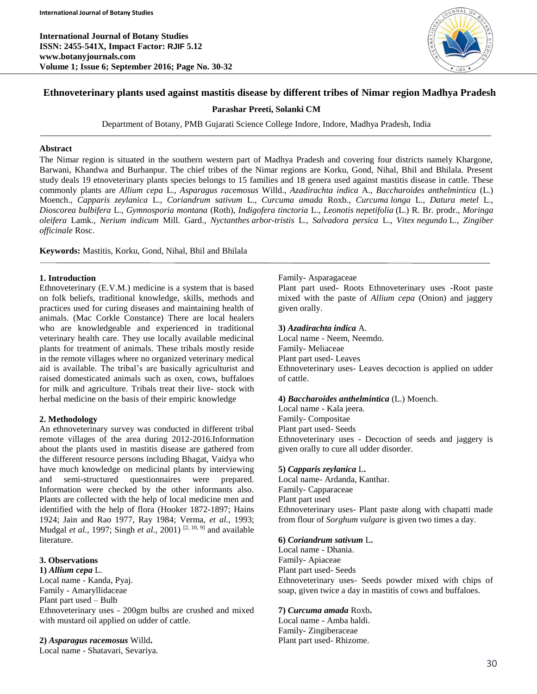

# **Ethnoveterinary plants used against mastitis disease by different tribes of Nimar region Madhya Pradesh**

**Parashar Preeti, Solanki CM**

Department of Botany, PMB Gujarati Science College Indore, Indore, Madhya Pradesh, India

#### **Abstract**

The Nimar region is situated in the southern western part of Madhya Pradesh and covering four districts namely Khargone, Barwani, Khandwa and Burhanpur. The chief tribes of the Nimar regions are Korku, Gond, Nihal, Bhil and Bhilala. Present study deals 19 etnoveterinary plants species belongs to 15 families and 18 genera used against mastitis disease in cattle. These commonly plants are *Allium cepa* L., *Asparagus racemosus* Willd., *Azadirachta indica* A., *Baccharoides anthelmintica* (L.) Moench., *Capparis zeylanica* L., *Coriandrum sativum* L., *Curcuma amada* Roxb., *Curcuma longa* L., *Datura metel* L., *Dioscorea bulbifera* L., *Gymnosporia montana* (Roth), *Indigofera tinctoria* L., *Leonotis nepetifolia* (L.) R. Br. prodr., *Moringa oleifera* Lamk., *Nerium indicum* Mill. Gard., *Nyctanthes arbor-tristis* L., *Salvadora persica* L., *Vitex negundo* L., *Zingiber officinale* Rosc.

**Keywords:** Mastitis, Korku, Gond, Nihal, Bhil and Bhilala

#### **1. Introduction**

Ethnoveterinary (E.V.M.) medicine is a system that is based on folk beliefs, traditional knowledge, skills, methods and practices used for curing diseases and maintaining health of animals. (Mac Corkle Constance) There are local healers who are knowledgeable and experienced in traditional veterinary health care. They use locally available medicinal plants for treatment of animals. These tribals mostly reside in the remote villages where no organized veterinary medical aid is available. The tribal's are basically agriculturist and raised domesticated animals such as oxen, cows, buffaloes for milk and agriculture. Tribals treat their live- stock with herbal medicine on the basis of their empiric knowledge

### **2. Methodology**

An ethnoveterinary survey was conducted in different tribal remote villages of the area during 2012-2016.Information about the plants used in mastitis disease are gathered from the different resource persons including Bhagat, Vaidya who have much knowledge on medicinal plants by interviewing and semi-structured questionnaires were prepared. Information were checked by the other informants also. Plants are collected with the help of local medicine men and identified with the help of flora (Hooker 1872-1897; Hains 1924; Jain and Rao 1977, Ray 1984; Verma, *et al.,* 1993; Mudgal *et al.,* 1997; Singh *et al.,* 2001) [2, 10, 9] and available literature.

# **3. Observations**

**1)** *Allium cepa* L. Local name - Kanda, Pyaj. Family - Amaryllidaceae Plant part used – Bulb Ethnoveterinary uses - 200gm bulbs are crushed and mixed with mustard oil applied on udder of cattle.

**2)** *Asparagus racemosus* Willd**.** Local name - Shatavari, Sevariya.

#### Family- Asparagaceae

Plant part used- Roots Ethnoveterinary uses -Root paste mixed with the paste of *Allium cepa* (Onion) and jaggery given orally.

#### **3)** *Azadirachta indica* A.

Local name - Neem, Neemdo. Family- Meliaceae Plant part used- Leaves Ethnoveterinary uses- Leaves decoction is applied on udder of cattle.

#### **4)** *Baccharoides anthelmintica* (L.) Moench.

Local name - Kala jeera. Family- Compositae Plant part used- Seeds Ethnoveterinary uses - Decoction of seeds and jaggery is given orally to cure all udder disorder.

#### **5)** *Capparis zeylanica* L**.**

Local name- Ardanda, Kanthar. Family- Capparaceae Plant part used Ethnoveterinary uses- Plant paste along with chapatti made from flour of *Sorghum vulgare* is given two times a day.

#### **6)** *Coriandrum sativum* L**.**

Local name - Dhania. Family- Apiaceae Plant part used- Seeds Ethnoveterinary uses- Seeds powder mixed with chips of soap, given twice a day in mastitis of cows and buffaloes.

#### **7)** *Curcuma amada* Roxb**.**

Local name - Amba haldi. Family- Zingiberaceae Plant part used- Rhizome.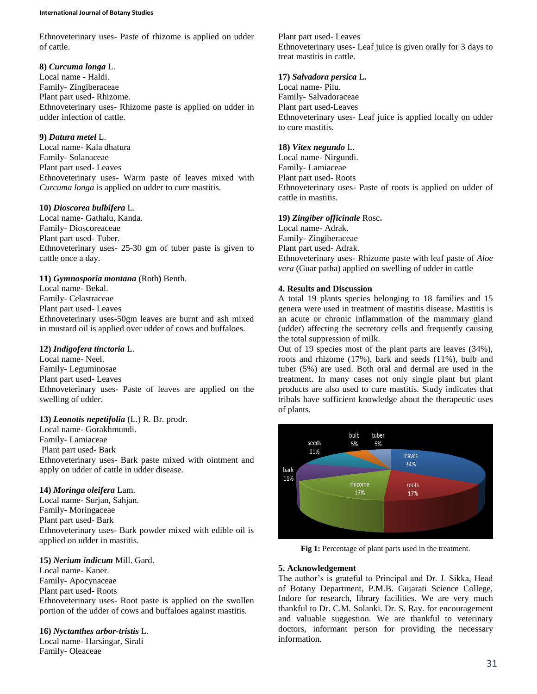#### **International Journal of Botany Studies**

Ethnoveterinary uses- Paste of rhizome is applied on udder of cattle.

# **8)** *Curcuma longa* L.

Local name - Haldi. Family- Zingiberaceae Plant part used- Rhizome. Ethnoveterinary uses- Rhizome paste is applied on udder in udder infection of cattle.

# **9)** *Datura metel* L.

Local name- Kala dhatura Family- Solanaceae Plant part used- Leaves Ethnoveterinary uses- Warm paste of leaves mixed with *Curcuma longa* is applied on udder to cure mastitis.

# **10)** *Dioscorea bulbifera* L.

Local name- Gathalu, Kanda. Family- Dioscoreaceae Plant part used- Tuber. Ethnoveterinary uses- 25-30 gm of tuber paste is given to cattle once a day.

# **11)** *Gymnosporia montana* (Roth**)** Benth.

Local name- Bekal. Family- Celastraceae Plant part used- Leaves Ethnoveterinary uses-50gm leaves are burnt and ash mixed in mustard oil is applied over udder of cows and buffaloes.

### **12)** *Indigofera tinctoria* L.

Local name- Neel. Family- Leguminosae Plant part used- Leaves Ethnoveterinary uses- Paste of leaves are applied on the swelling of udder.

# **13)** *Leonotis nepetifolia* (L.) R. Br. prodr.

Local name- Gorakhmundi. Family- Lamiaceae Plant part used- Bark Ethnoveterinary uses- Bark paste mixed with ointment and apply on udder of cattle in udder disease.

### **14)** *Moringa oleifera* Lam.

Local name- Surjan, Sahjan. Family- Moringaceae Plant part used- Bark Ethnoveterinary uses- Bark powder mixed with edible oil is applied on udder in mastitis.

# **15)** *Nerium indicum* Mill. Gard.

Local name- Kaner. Family- Apocynaceae Plant part used- Roots Ethnoveterinary uses- Root paste is applied on the swollen portion of the udder of cows and buffaloes against mastitis.

# **16)** *Nyctanthes arbor-tristis* L.

Local name- Harsingar, Sirali Family- Oleaceae

Plant part used- Leaves Ethnoveterinary uses- Leaf juice is given orally for 3 days to treat mastitis in cattle.

### **17)** *Salvadora persica* L**.**

Local name- Pilu. Family- Salvadoraceae Plant part used-Leaves Ethnoveterinary uses- Leaf juice is applied locally on udder to cure mastitis.

### **18)** *Vitex negundo* L.

Local name- Nirgundi. Family- Lamiaceae Plant part used- Roots Ethnoveterinary uses- Paste of roots is applied on udder of cattle in mastitis.

### **19)** *Zingiber officinale* Rosc**.**

Local name- Adrak. Family- Zingiberaceae Plant part used- Adrak. Ethnoveterinary uses- Rhizome paste with leaf paste of *Aloe vera* (Guar patha) applied on swelling of udder in cattle

# **4. Results and Discussion**

A total 19 plants species belonging to 18 families and 15 genera were used in treatment of mastitis disease. Mastitis is an acute or chronic inflammation of the mammary gland (udder) affecting the secretory cells and frequently causing the total suppression of milk.

Out of 19 species most of the plant parts are leaves (34%), roots and rhizome (17%), bark and seeds (11%), bulb and tuber (5%) are used. Both oral and dermal are used in the treatment. In many cases not only single plant but plant products are also used to cure mastitis. Study indicates that tribals have sufficient knowledge about the therapeutic uses of plants.



**Fig 1:** Percentage of plant parts used in the treatment.

### **5. Acknowledgement**

The author's is grateful to Principal and Dr. J. Sikka, Head of Botany Department, P.M.B. Gujarati Science College, Indore for research, library facilities. We are very much thankful to Dr. C.M. Solanki. Dr. S. Ray. for encouragement and valuable suggestion. We are thankful to veterinary doctors, informant person for providing the necessary information.